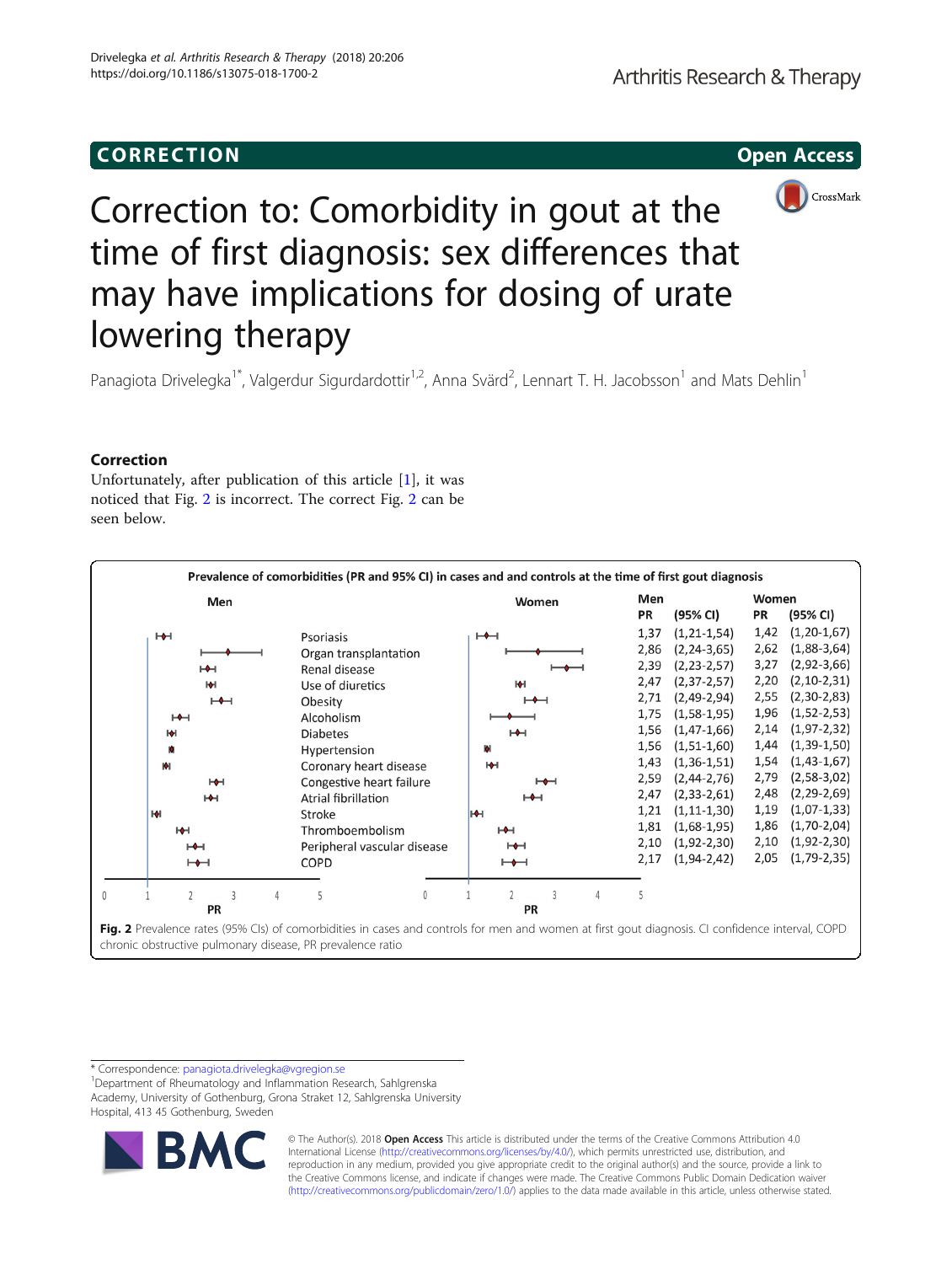

# Correction to: Comorbidity in gout at the time of first diagnosis: sex differences that may have implications for dosing of urate lowering therapy

Panagiota Drivelegka<sup>1\*</sup>, Valgerdur Sigurdardottir<sup>1,2</sup>, Anna Svärd<sup>2</sup>, Lennart T. H. Jacobsson<sup>1</sup> and Mats Dehlin<sup>1</sup>

### Correction

Unfortunately, after publication of this article [\[1](#page-1-0)], it was noticed that Fig. 2 is incorrect. The correct Fig. 2 can be seen below.

| Prevalence of comorbidities (PR and 95% CI) in cases and and controls at the time of first gout diagnosis |                                             |  |  |  |                                                                                     |              |  |                |                            |              |   |      |                                                                                                                                                  |       |                   |
|-----------------------------------------------------------------------------------------------------------|---------------------------------------------|--|--|--|-------------------------------------------------------------------------------------|--------------|--|----------------|----------------------------|--------------|---|------|--------------------------------------------------------------------------------------------------------------------------------------------------|-------|-------------------|
|                                                                                                           | Men                                         |  |  |  |                                                                                     |              |  |                | Women                      |              |   |      | Men                                                                                                                                              | Women |                   |
|                                                                                                           |                                             |  |  |  |                                                                                     |              |  |                |                            |              |   |      | (95% CI)                                                                                                                                         | PR    | (95% CI)          |
|                                                                                                           | $H +$<br>$H +$<br>м                         |  |  |  | Psoriasis                                                                           |              |  | ⊢←⊣            |                            |              |   | 1,37 | $(1, 21 - 1, 54)$                                                                                                                                | 1,42  | $(1, 20-1, 67)$   |
|                                                                                                           |                                             |  |  |  | Organ transplantation<br>Renal disease                                              |              |  |                |                            |              |   |      | $(2, 24 - 3, 65)$                                                                                                                                | 2,62  | $(1,88-3,64)$     |
|                                                                                                           |                                             |  |  |  |                                                                                     |              |  |                |                            |              |   |      | $(2, 23 - 2, 57)$                                                                                                                                | 3,27  | $(2,92-3,66)$     |
|                                                                                                           |                                             |  |  |  | Use of diuretics                                                                    |              |  | м              |                            |              |   | 2,47 | $(2, 37 - 2, 57)$                                                                                                                                | 2,20  | $(2, 10-2, 31)$   |
|                                                                                                           | $\mapsto$                                   |  |  |  | Obesity                                                                             |              |  | $\mapsto$      |                            |              |   | 2,71 | $(2,49-2,94)$                                                                                                                                    | 2,55  | $(2,30-2,83)$     |
|                                                                                                           | H                                           |  |  |  | Alcoholism                                                                          |              |  |                |                            |              |   |      | $(1,58-1,95)$                                                                                                                                    | 1,96  | $(1, 52 - 2, 53)$ |
|                                                                                                           | м                                           |  |  |  | <b>Diabetes</b>                                                                     |              |  |                | H                          |              |   |      | $(1, 47-1, 66)$                                                                                                                                  | 2,14  | $(1, 97 - 2, 32)$ |
|                                                                                                           | Ю                                           |  |  |  |                                                                                     | Hypertension |  |                | ы                          |              |   |      | $(1,51-1,60)$                                                                                                                                    | 1,44  | $(1, 39-1, 50)$   |
|                                                                                                           | M<br>H<br>H<br>H<br>H<br>$H +$<br>$\mapsto$ |  |  |  | Coronary heart disease<br>Congestive heart failure<br>Atrial fibrillation<br>Stroke |              |  |                | ю<br>$\mapsto$<br>H<br>Iнн |              |   |      | $(1, 36 - 1, 51)$                                                                                                                                | 1,54  | $(1, 43-1, 67)$   |
|                                                                                                           |                                             |  |  |  |                                                                                     |              |  |                |                            |              |   |      | $(2, 44 - 2, 76)$                                                                                                                                | 2,79  | $(2,58-3,02)$     |
|                                                                                                           |                                             |  |  |  |                                                                                     |              |  |                |                            |              |   |      | $(2, 33 - 2, 61)$                                                                                                                                | 2,48  | $(2, 29 - 2, 69)$ |
|                                                                                                           |                                             |  |  |  |                                                                                     |              |  |                |                            |              |   |      | $(1, 11 - 1, 30)$                                                                                                                                | 1,19  | $(1,07-1,33)$     |
|                                                                                                           |                                             |  |  |  | Thromboembolism<br>Peripheral vascular disease<br>COPD                              |              |  |                | $H +$                      |              |   |      | $(1,68-1,95)$                                                                                                                                    | 1,86  | $(1,70-2,04)$     |
|                                                                                                           |                                             |  |  |  |                                                                                     |              |  | H<br>$\mapsto$ |                            |              |   | 2,10 | $(1,92-2,30)$                                                                                                                                    | 2,10  | $(1, 92 - 2, 30)$ |
|                                                                                                           |                                             |  |  |  |                                                                                     |              |  |                |                            |              |   | 2,17 | $(1, 94 - 2, 42)$                                                                                                                                | 2,05  | $(1,79-2,35)$     |
|                                                                                                           |                                             |  |  |  |                                                                                     |              |  |                |                            | $\mathbf{R}$ |   |      |                                                                                                                                                  |       |                   |
| 0<br>5<br>0<br><b>PR</b>                                                                                  |                                             |  |  |  |                                                                                     |              |  |                |                            | <b>PR</b>    | 4 | 5    |                                                                                                                                                  |       |                   |
|                                                                                                           |                                             |  |  |  |                                                                                     |              |  |                |                            |              |   |      |                                                                                                                                                  |       |                   |
|                                                                                                           |                                             |  |  |  |                                                                                     |              |  |                |                            |              |   |      | Fig. 2 Prevalence rates (95% Cls) of comorbidities in cases and controls for men and women at first gout diagnosis. CI confidence interval, COPD |       |                   |
|                                                                                                           |                                             |  |  |  | chronic obstructive pulmonary disease, PR prevalence ratio                          |              |  |                |                            |              |   |      |                                                                                                                                                  |       |                   |

\* Correspondence: [panagiota.drivelegka@vgregion.se](mailto:panagiota.drivelegka@vgregion.se) <sup>1</sup>

Department of Rheumatology and Inflammation Research, Sahlgrenska Academy, University of Gothenburg, Grona Straket 12, Sahlgrenska University Hospital, 413 45 Gothenburg, Sweden



© The Author(s). 2018 **Open Access** This article is distributed under the terms of the Creative Commons Attribution 4.0 International License [\(http://creativecommons.org/licenses/by/4.0/](http://creativecommons.org/licenses/by/4.0/)), which permits unrestricted use, distribution, and reproduction in any medium, provided you give appropriate credit to the original author(s) and the source, provide a link to the Creative Commons license, and indicate if changes were made. The Creative Commons Public Domain Dedication waiver [\(http://creativecommons.org/publicdomain/zero/1.0/](http://creativecommons.org/publicdomain/zero/1.0/)) applies to the data made available in this article, unless otherwise stated.